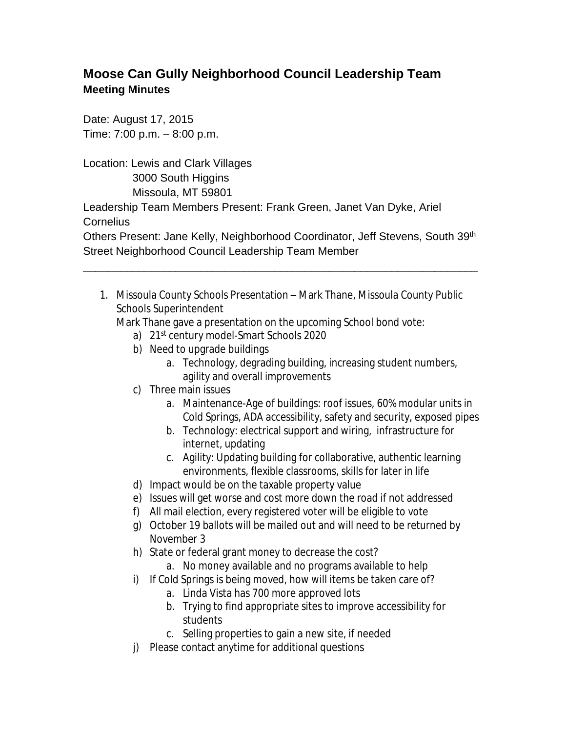## **Moose Can Gully Neighborhood Council Leadership Team Meeting Minutes**

Date: August 17, 2015 Time: 7:00 p.m. – 8:00 p.m.

Location: Lewis and Clark Villages 3000 South Higgins Missoula, MT 59801 Leadership Team Members Present: Frank Green, Janet Van Dyke, Ariel **Cornelius** 

Others Present: Jane Kelly, Neighborhood Coordinator, Jeff Stevens, South 39th Street Neighborhood Council Leadership Team Member

\_\_\_\_\_\_\_\_\_\_\_\_\_\_\_\_\_\_\_\_\_\_\_\_\_\_\_\_\_\_\_\_\_\_\_\_\_\_\_\_\_\_\_\_\_\_\_\_\_\_\_\_\_\_\_\_\_\_\_\_\_\_\_\_

1. Missoula County Schools Presentation – Mark Thane, Missoula County Public Schools Superintendent

Mark Thane gave a presentation on the upcoming School bond vote:

- a) 21st century model-Smart Schools 2020
- b) Need to upgrade buildings
	- a. Technology, degrading building, increasing student numbers, agility and overall improvements
- c) Three main issues
	- a. Maintenance-Age of buildings: roof issues, 60% modular units in Cold Springs, ADA accessibility, safety and security, exposed pipes
	- b. Technology: electrical support and wiring, infrastructure for internet, updating
	- c. Agility: Updating building for collaborative, authentic learning environments, flexible classrooms, skills for later in life
- d) Impact would be on the taxable property value
- e) Issues will get worse and cost more down the road if not addressed
- f) All mail election, every registered voter will be eligible to vote
- g) October 19 ballots will be mailed out and will need to be returned by November 3
- h) State or federal grant money to decrease the cost?
	- a. No money available and no programs available to help
- i) If Cold Springs is being moved, how will items be taken care of?
	- a. Linda Vista has 700 more approved lots
	- b. Trying to find appropriate sites to improve accessibility for students
	- c. Selling properties to gain a new site, if needed
- j) Please contact anytime for additional questions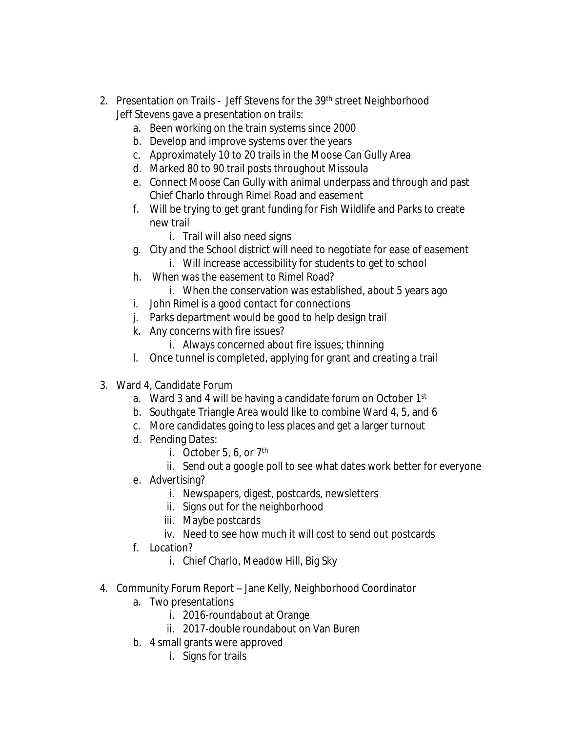- 2. Presentation on Trails Jeff Stevens for the 39<sup>th</sup> street Neighborhood Jeff Stevens gave a presentation on trails:
	- a. Been working on the train systems since 2000
	- b. Develop and improve systems over the years
	- c. Approximately 10 to 20 trails in the Moose Can Gully Area
	- d. Marked 80 to 90 trail posts throughout Missoula
	- e. Connect Moose Can Gully with animal underpass and through and past Chief Charlo through Rimel Road and easement
	- f. Will be trying to get grant funding for Fish Wildlife and Parks to create new trail
		- i. Trail will also need signs
	- g. City and the School district will need to negotiate for ease of easement
		- i. Will increase accessibility for students to get to school
	- h. When was the easement to Rimel Road?
		- i. When the conservation was established, about 5 years ago
	- i. John Rimel is a good contact for connections
	- j. Parks department would be good to help design trail
	- k. Any concerns with fire issues?
		- i. Always concerned about fire issues; thinning
	- l. Once tunnel is completed, applying for grant and creating a trail
- 3. Ward 4, Candidate Forum
	- a. Ward 3 and 4 will be having a candidate forum on October 1st
	- b. Southgate Triangle Area would like to combine Ward 4, 5, and 6
	- c. More candidates going to less places and get a larger turnout
	- d. Pending Dates:
		- i. October 5, 6, or  $7<sup>th</sup>$
		- ii. Send out a google poll to see what dates work better for everyone
	- e. Advertising?
		- i. Newspapers, digest, postcards, newsletters
		- ii. Signs out for the neighborhood
		- iii. Maybe postcards
		- iv. Need to see how much it will cost to send out postcards
	- f. Location?
		- i. Chief Charlo, Meadow Hill, Big Sky
- 4. Community Forum Report Jane Kelly, Neighborhood Coordinator
	- a. Two presentations
		- i. 2016-roundabout at Orange
		- ii. 2017-double roundabout on Van Buren
	- b. 4 small grants were approved
		- i. Signs for trails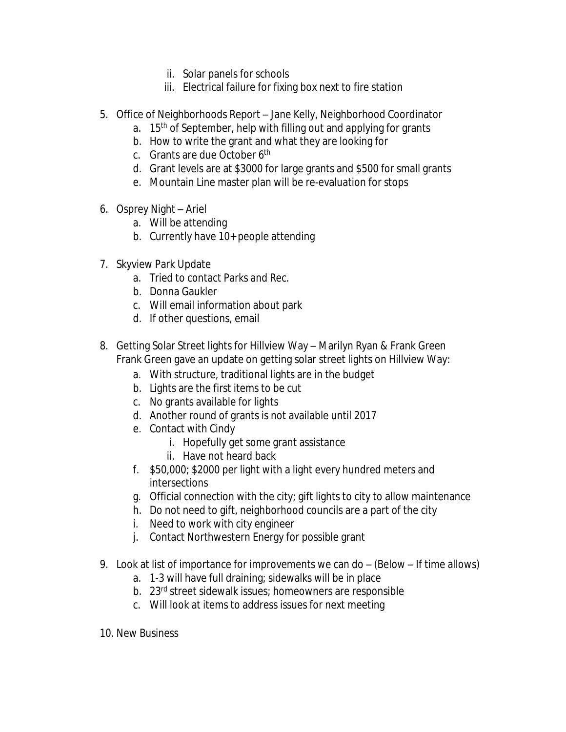- ii. Solar panels for schools
- iii. Electrical failure for fixing box next to fire station
- 5. Office of Neighborhoods Report Jane Kelly, Neighborhood Coordinator
	- a.  $15<sup>th</sup>$  of September, help with filling out and applying for grants
	- b. How to write the grant and what they are looking for
	- c. Grants are due October 6th
	- d. Grant levels are at \$3000 for large grants and \$500 for small grants
	- e. Mountain Line master plan will be re-evaluation for stops
- 6. Osprey Night Ariel
	- a. Will be attending
	- b. Currently have 10+ people attending
- 7. Skyview Park Update
	- a. Tried to contact Parks and Rec.
	- b. Donna Gaukler
	- c. Will email information about park
	- d. If other questions, email
- 8. Getting Solar Street lights for Hillview Way Marilyn Ryan & Frank Green Frank Green gave an update on getting solar street lights on Hillview Way:
	- a. With structure, traditional lights are in the budget
	- b. Lights are the first items to be cut
	- c. No grants available for lights
	- d. Another round of grants is not available until 2017
	- e. Contact with Cindy
		- i. Hopefully get some grant assistance
		- ii. Have not heard back
	- f. \$50,000; \$2000 per light with a light every hundred meters and intersections
	- g. Official connection with the city; gift lights to city to allow maintenance
	- h. Do not need to gift, neighborhood councils are a part of the city
	- i. Need to work with city engineer
	- j. Contact Northwestern Energy for possible grant
- 9. Look at list of importance for improvements we can do (Below If time allows)
	- a. 1-3 will have full draining; sidewalks will be in place
	- b. 23rd street sidewalk issues; homeowners are responsible
	- c. Will look at items to address issues for next meeting
- 10. New Business